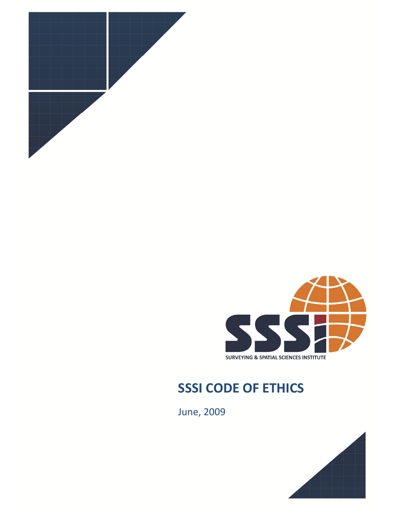



## SSSI CODE OF ETHICS

June, 2009

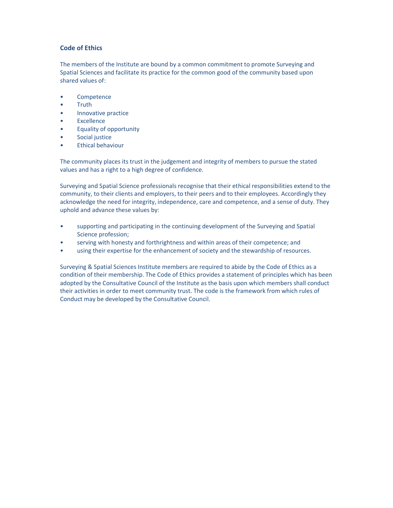## Code of Ethics

The members of the Institute are bound by a common commitment to promote Surveying and Spatial Sciences and facilitate its practice for the common good of the community based upon shared values of:

- **Competence**
- Truth
- Innovative practice
- **Excellence**
- Equality of opportunity
- Social justice
- Ethical behaviour

The community places its trust in the judgement and integrity of members to pursue the stated values and has a right to a high degree of confidence.

Surveying and Spatial Science professionals recognise that their ethical responsibilities extend to the community, to their clients and employers, to their peers and to their employees. Accordingly they acknowledge the need for integrity, independence, care and competence, and a sense of duty. They uphold and advance these values by:

- supporting and participating in the continuing development of the Surveying and Spatial Science profession;
- serving with honesty and forthrightness and within areas of their competence; and
- using their expertise for the enhancement of society and the stewardship of resources.

Surveying & Spatial Sciences Institute members are required to abide by the Code of Ethics as a condition of their membership. The Code of Ethics provides a statement of principles which has been adopted by the Consultative Council of the Institute as the basis upon which members shall conduct their activities in order to meet community trust. The code is the framework from which rules of Conduct may be developed by the Consultative Council.